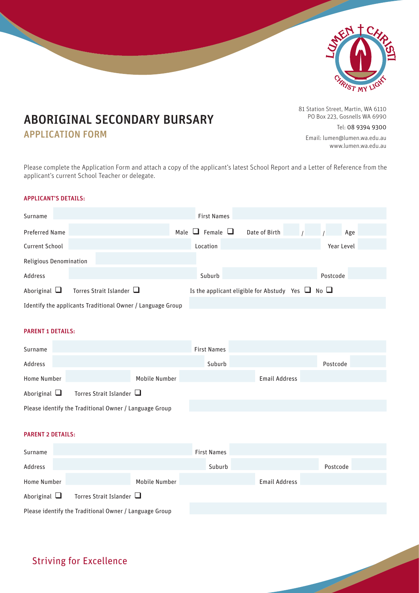

# ABORIGINAL SECONDARY BURSARY

### APPLICATION FORM

81 Station Street, Martin, WA 6110 PO Box 223, Gosnells WA 6990

Tel: 08 9394 9300

Email: lumen@lumen.wa.edu.au www.lumen.wa.edu.au

Please complete the Application Form and attach a copy of the applicant's latest School Report and a Letter of Reference from the applicant's current School Teacher or delegate.

#### APPLICANT'S DETAILS:

| Surname                |                                                            | <b>First Names</b>           |                                                            |  |  |  |  |
|------------------------|------------------------------------------------------------|------------------------------|------------------------------------------------------------|--|--|--|--|
| <b>Preferred Name</b>  |                                                            | $\Box$ Female $\Box$<br>Male | Date of Birth<br>Age                                       |  |  |  |  |
| <b>Current School</b>  |                                                            | Location                     | Year Level                                                 |  |  |  |  |
| Religious Denomination |                                                            |                              |                                                            |  |  |  |  |
| Address                |                                                            | Suburb                       | Postcode                                                   |  |  |  |  |
| Aboriginal $\Box$      | Torres Strait Islander                                     |                              | Is the applicant eligible for Abstudy Yes $\Box$ No $\Box$ |  |  |  |  |
|                        | Identify the applicants Traditional Owner / Language Group |                              |                                                            |  |  |  |  |

#### PARENT 1 DETAILS:

| Surname                                                |  |               | <b>First Names</b> |  |               |          |  |
|--------------------------------------------------------|--|---------------|--------------------|--|---------------|----------|--|
| Address                                                |  |               | Suburb             |  |               | Postcode |  |
| Home Number                                            |  | Mobile Number |                    |  | Email Address |          |  |
| Aboriginal $\Box$<br>Torres Strait Islander $\Box$     |  |               |                    |  |               |          |  |
| Please identify the Traditional Owner / Language Group |  |               |                    |  |               |          |  |

#### PARENT 2 DETAILS:

| Surname                                                |                               |               | <b>First Names</b> |        |               |          |  |
|--------------------------------------------------------|-------------------------------|---------------|--------------------|--------|---------------|----------|--|
| Address                                                |                               |               |                    | Suburb |               | Postcode |  |
| Home Number                                            |                               | Mobile Number |                    |        | Email Address |          |  |
| Aboriginal $\Box$                                      | Torres Strait Islander $\Box$ |               |                    |        |               |          |  |
| Please identify the Traditional Owner / Language Group |                               |               |                    |        |               |          |  |

## Striving for Excellence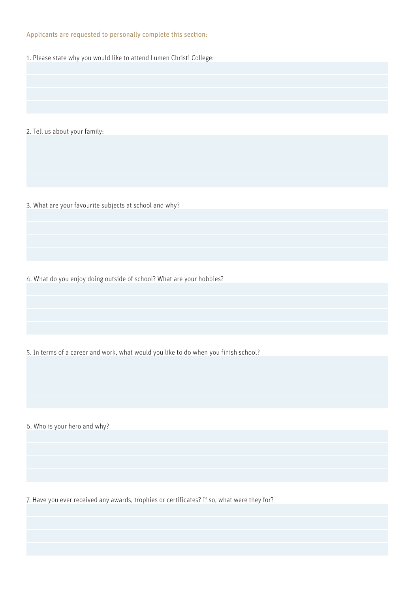#### Applicants are requested to personally complete this section:

1. Please state why you would like to attend Lumen Christi College:

2. Tell us about your family:

3. What are your favourite subjects at school and why?

4. What do you enjoy doing outside of school? What are your hobbies?

5. In terms of a career and work, what would you like to do when you finish school?

6. Who is your hero and why?

7. Have you ever received any awards, trophies or certificates? If so, what were they for?